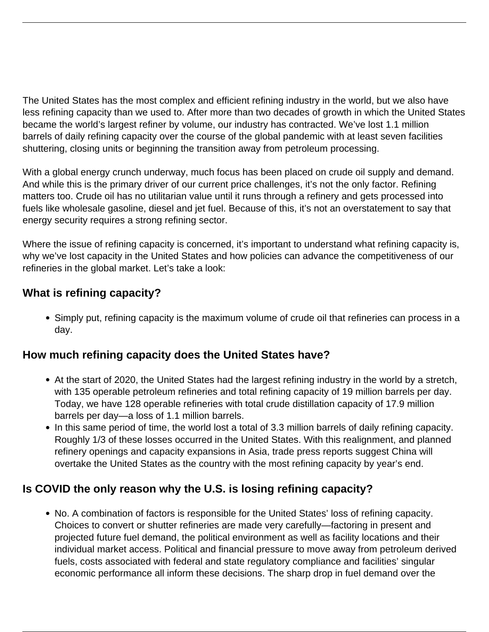The United States has the most complex and efficient refining industry in the world, but we also have less refining capacity than we used to. After more than two decades of growth in which the United States became the world's largest refiner by volume, our industry has contracted. We've lost 1.1 million barrels of daily refining capacity over the course of the global pandemic with at least seven facilities shuttering, closing units or beginning the transition away from petroleum processing.

With a global energy crunch underway, much focus has been placed on crude oil supply and demand. And while this is the primary driver of our current price challenges, it's not the only factor. Refining matters too. Crude oil has no utilitarian value until it runs through a refinery and gets processed into fuels like wholesale gasoline, diesel and jet fuel. Because of this, it's not an overstatement to say that energy security requires a strong refining sector.

Where the issue of refining capacity is concerned, it's important to understand what refining capacity is, why we've lost capacity in the United States and how policies can advance the competitiveness of our refineries in the global market. Let's take a look:

## **What is refining capacity?**

Simply put, refining capacity is the maximum volume of crude oil that refineries can process in a day.

## **How much refining capacity does the United States have?**

- At the start of 2020, the United States had the largest refining industry in the world by a stretch, with 135 operable petroleum refineries and total refining capacity of 19 million barrels per day. Today, we have 128 operable refineries with total crude distillation capacity of 17.9 million barrels per day—a loss of 1.1 million barrels.
- In this same period of time, the world lost a total of 3.3 million barrels of daily refining capacity. Roughly 1/3 of these losses occurred in the United States. With this realignment, and planned refinery openings and capacity expansions in Asia, trade press reports suggest China will overtake the United States as the country with the most refining capacity by year's end.

## **Is COVID the only reason why the U.S. is losing refining capacity?**

No. A combination of factors is responsible for the United States' loss of refining capacity. Choices to convert or shutter refineries are made very carefully—factoring in present and projected future fuel demand, the political environment as well as facility locations and their individual market access. Political and financial pressure to move away from petroleum derived fuels, costs associated with federal and state regulatory compliance and facilities' singular economic performance all inform these decisions. The sharp drop in fuel demand over the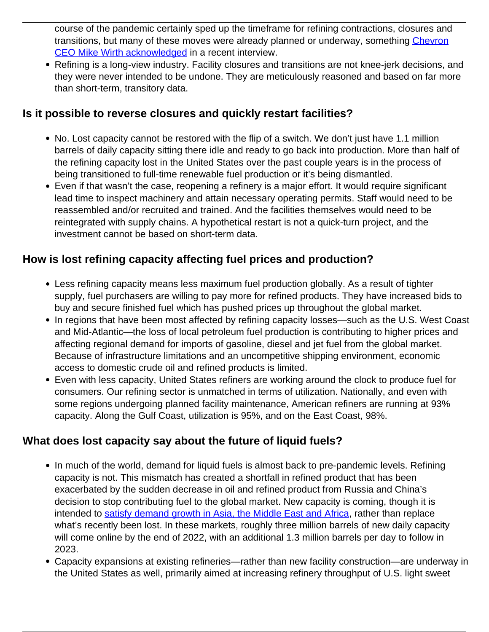course of the pandemic certainly sped up the timeframe for refining contractions, closures and transitions, but many of these moves were already planned or underway, something [Chevron](https://www.fool.com/investing/2022/06/05/chevrons-ceo-says-no-more-us-oil-refineries-what-s/) [CEO Mike Wirth acknowledged](https://www.fool.com/investing/2022/06/05/chevrons-ceo-says-no-more-us-oil-refineries-what-s/) in a recent interview.

Refining is a long-view industry. Facility closures and transitions are not knee-jerk decisions, and they were never intended to be undone. They are meticulously reasoned and based on far more than short-term, transitory data.

#### **Is it possible to reverse closures and quickly restart facilities?**

- No. Lost capacity cannot be restored with the flip of a switch. We don't just have 1.1 million barrels of daily capacity sitting there idle and ready to go back into production. More than half of the refining capacity lost in the United States over the past couple years is in the process of being transitioned to full-time renewable fuel production or it's being dismantled.
- Even if that wasn't the case, reopening a refinery is a major effort. It would require significant lead time to inspect machinery and attain necessary operating permits. Staff would need to be reassembled and/or recruited and trained. And the facilities themselves would need to be reintegrated with supply chains. A hypothetical restart is not a quick-turn project, and the investment cannot be based on short-term data.

## **How is lost refining capacity affecting fuel prices and production?**

- Less refining capacity means less maximum fuel production globally. As a result of tighter supply, fuel purchasers are willing to pay more for refined products. They have increased bids to buy and secure finished fuel which has pushed prices up throughout the global market.
- In regions that have been most affected by refining capacity losses—such as the U.S. West Coast and Mid-Atlantic—the loss of local petroleum fuel production is contributing to higher prices and affecting regional demand for imports of gasoline, diesel and jet fuel from the global market. Because of infrastructure limitations and an uncompetitive shipping environment, economic access to domestic crude oil and refined products is limited.
- Even with less capacity, United States refiners are working around the clock to produce fuel for consumers. Our refining sector is unmatched in terms of utilization. Nationally, and even with some regions undergoing planned facility maintenance, American refiners are running at 93% capacity. Along the Gulf Coast, utilization is 95%, and on the East Coast, 98%.

## **What does lost capacity say about the future of liquid fuels?**

- In much of the world, demand for liquid fuels is almost back to pre-pandemic levels. Refining capacity is not. This mismatch has created a shortfall in refined product that has been exacerbated by the sudden decrease in oil and refined product from Russia and China's decision to stop contributing fuel to the global market. New capacity is coming, though it is intended to [satisfy demand growth in Asia, the Middle East and Africa](https://www.eia.gov/outlooks/ieo/consumption/sub-topic-01.php), rather than replace what's recently been lost. In these markets, roughly three million barrels of new daily capacity will come online by the end of 2022, with an additional 1.3 million barrels per day to follow in 2023.
- Capacity expansions at existing refineries—rather than new facility construction—are underway in the United States as well, primarily aimed at increasing refinery throughput of U.S. light sweet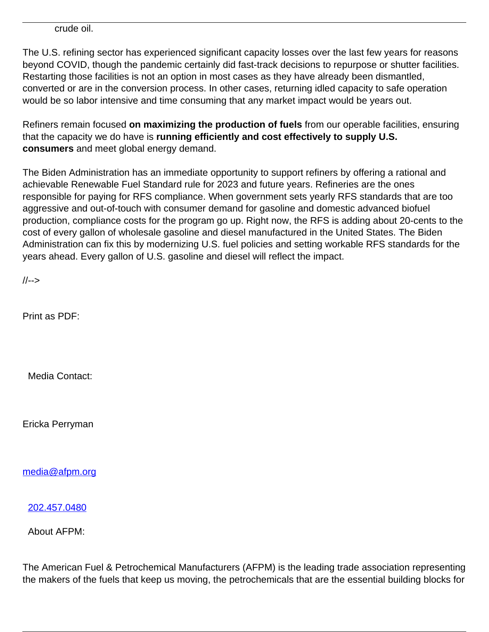crude oil.

The U.S. refining sector has experienced significant capacity losses over the last few years for reasons beyond COVID, though the pandemic certainly did fast-track decisions to repurpose or shutter facilities. Restarting those facilities is not an option in most cases as they have already been dismantled, converted or are in the conversion process. In other cases, returning idled capacity to safe operation would be so labor intensive and time consuming that any market impact would be years out.

Refiners remain focused **on maximizing the production of fuels** from our operable facilities, ensuring that the capacity we do have is **running efficiently and cost effectively to supply U.S. consumers** and meet global energy demand.

The Biden Administration has an immediate opportunity to support refiners by offering a rational and achievable Renewable Fuel Standard rule for 2023 and future years. Refineries are the ones responsible for paying for RFS compliance. When government sets yearly RFS standards that are too aggressive and out-of-touch with consumer demand for gasoline and domestic advanced biofuel production, compliance costs for the program go up. Right now, the RFS is adding about 20-cents to the cost of every gallon of wholesale gasoline and diesel manufactured in the United States. The Biden Administration can fix this by modernizing U.S. fuel policies and setting workable RFS standards for the years ahead. Every gallon of U.S. gasoline and diesel will reflect the impact.

//-->

Print as PDF:

Media Contact:

Ericka Perryman

[media@afpm.org](mailto:media@afpm.org)

[202.457.0480](tel:202.457.0480)

About AFPM:

The American Fuel & Petrochemical Manufacturers (AFPM) is the leading trade association representing the makers of the fuels that keep us moving, the petrochemicals that are the essential building blocks for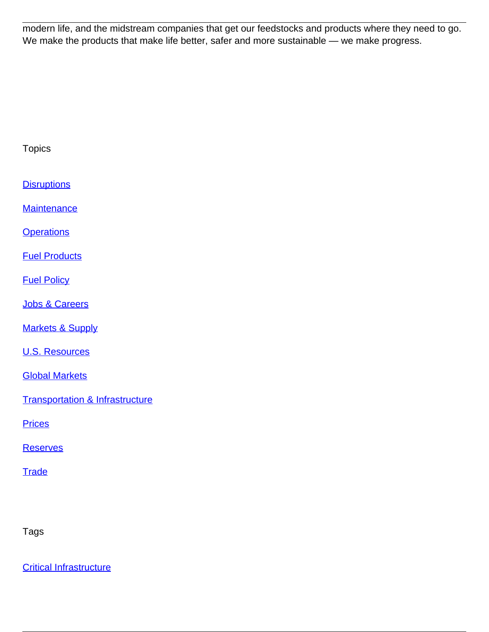modern life, and the midstream companies that get our feedstocks and products where they need to go. We make the products that make life better, safer and more sustainable — we make progress.

| <b>Topics</b>                              |
|--------------------------------------------|
| <b>Disruptions</b>                         |
| <b>Maintenance</b>                         |
| <b>Operations</b>                          |
| <b>Fuel Products</b>                       |
| <b>Fuel Policy</b>                         |
| <b>Jobs &amp; Careers</b>                  |
| <b>Markets &amp; Supply</b>                |
| <b>U.S. Resources</b>                      |
| <b>Global Markets</b>                      |
| <b>Transportation &amp; Infrastructure</b> |
| <b>Prices</b>                              |
| <b>Reserves</b>                            |
| <b>Trade</b>                               |

Tags

[Critical Infrastructure](/tag/critical-infrastructure)